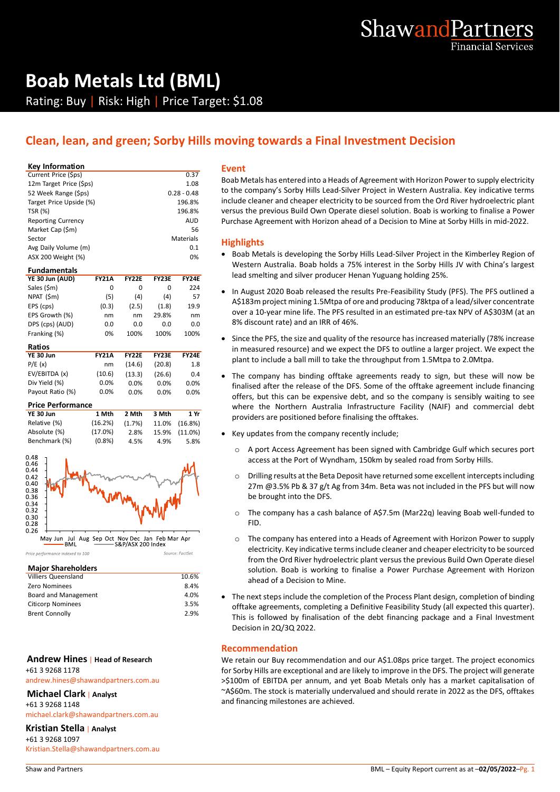# **Boab Metals Ltd (BML)** Rating: Buy | Risk: High | Price Target: \$1.08

# **Clean, lean, and green; Sorby Hills moving towards a Final Investment Decision**

#### **Key Information**

| 0.37          |    |
|---------------|----|
| 1.08          | В  |
| $0.28 - 0.48$ | t١ |
| 196.8%        | ir |
| 196.8%        | v  |
| <b>AUD</b>    | P  |
| 56            |    |
| Materials     | ŀ  |
| 0.1           |    |
| 0%            |    |
|               |    |

| <b>Fundamentals</b> |              |              |              |              |
|---------------------|--------------|--------------|--------------|--------------|
| YE 30 Jun (AUD)     | <b>FY21A</b> | <b>FY22F</b> | <b>FY23E</b> | <b>FY24E</b> |
| Sales (\$m)         | 0            | 0            | O            | 224          |
| NPAT (\$m)          | (5)          | (4)          | (4)          | 57           |
| EPS (cps)           | (0.3)        | (2.5)        | (1.8)        | 19.9         |
| EPS Growth (%)      | nm           | nm           | 29.8%        | nm           |
| DPS (cps) (AUD)     | 0.0          | 0.0          | 0.0          | 0.0          |
| Franking (%)        | 0%           | 100%         | 100%         | 100%         |

| Ratios           |              |              |              |              |
|------------------|--------------|--------------|--------------|--------------|
| YE 30 Jun        | <b>FY21A</b> | <b>FY22E</b> | <b>FY23F</b> | <b>FY24E</b> |
| P/E(x)           | nm           | (14.6)       | (20.8)       | 1.8          |
| EV/EBITDA (x)    | (10.6)       | (13.3)       | (26.6)       | 0.4          |
| Div Yield (%)    | $0.0\%$      | $0.0\%$      | $0.0\%$      | 0.0%         |
| Payout Ratio (%) | $0.0\%$      | $0.0\%$      | $0.0\%$      | 0.0%         |

#### **Price Performance**

| <b>YE 30 Jun</b> | 1 Mth     | 2 Mth  | 3 Mth | 1 Yr          |
|------------------|-----------|--------|-------|---------------|
| Relative (%)     | (16.2%)   | (1.7%) |       | 11.0% (16.8%) |
| Absolute (%)     | (17.0%)   | 2.8%   |       | 15.9% (11.0%) |
| Benchmark (%)    | $(0.8\%)$ | 4.5%   | 4.9%  | 5.8%          |



#### Price nerformance indexed to 100

| 10.6% |
|-------|
| 8.4%  |
| 4.0%  |
| 3.5%  |
| 2.9%  |
|       |

Source: FactSet

#### **Andrew Hines** | **Head of Research** +61 3 9268 1178

andrew.hines@shawandpartners.com.au

#### **Michael Clark** | **Analyst**

+61 3 9268 1148

michael.clark@shawandpartners.com.au

## **Kristian Stella** | **Analyst**

+61 3 9268 1097 Kristian.Stella@shawandpartners.com.au

#### **Event**

Boab Metals has entered into a Heads of Agreement with Horizon Power to supply electricity to the company's Sorby Hills Lead-Silver Project in Western Australia. Key indicative terms include cleaner and cheaper electricity to be sourced from the Ord River hydroelectric plant versus the previous Build Own Operate diesel solution. Boab is working to finalise a Power Purchase Agreement with Horizon ahead of a Decision to Mine at Sorby Hills in mid-2022.

## **Highlights**

- Boab Metals is developing the Sorby Hills Lead-Silver Project in the Kimberley Region of Western Australia. Boab holds a 75% interest in the Sorby Hills JV with China's largest lead smelting and silver producer Henan Yuguang holding 25%.
- In August 2020 Boab released the results Pre-Feasibility Study (PFS). The PFS outlined a A\$183m project mining 1.5Mtpa of ore and producing 78ktpa of a lead/silver concentrate over a 10-year mine life. The PFS resulted in an estimated pre-tax NPV of A\$303M (at an 8% discount rate) and an IRR of 46%.
- Since the PFS, the size and quality of the resource has increased materially (78% increase in measured resource) and we expect the DFS to outline a larger project. We expect the plant to include a ball mill to take the throughput from 1.5Mtpa to 2.0Mtpa.
- The company has binding offtake agreements ready to sign, but these will now be finalised after the release of the DFS. Some of the offtake agreement include financing offers, but this can be expensive debt, and so the company is sensibly waiting to see where the Northern Australia Infrastructure Facility (NAIF) and commercial debt providers are positioned before finalising the offtakes.
- Key updates from the company recently include;
	- o A port Access Agreement has been signed with Cambridge Gulf which secures port access at the Port of Wyndham, 150km by sealed road from Sorby Hills.
	- o Drilling results at the Beta Deposit have returned some excellent intercepts including 27m @3.5% Pb & 37 g/t Ag from 34m. Beta was not included in the PFS but will now be brought into the DFS.
	- o The company has a cash balance of A\$7.5m (Mar22q) leaving Boab well-funded to FID.
	- o The company has entered into a Heads of Agreement with Horizon Power to supply electricity. Key indicative terms include cleaner and cheaper electricity to be sourced from the Ord River hydroelectric plant versus the previous Build Own Operate diesel solution. Boab is working to finalise a Power Purchase Agreement with Horizon ahead of a Decision to Mine.
- The next steps include the completion of the Process Plant design, completion of binding offtake agreements, completing a Definitive Feasibility Study (all expected this quarter). This is followed by finalisation of the debt financing package and a Final Investment Decision in 2Q/3Q 2022.

### **Recommendation**

We retain our Buy recommendation and our A\$1.08ps price target. The project economics for Sorby Hills are exceptional and are likely to improve in the DFS. The project will generate >\$100m of EBITDA per annum, and yet Boab Metals only has a market capitalisation of ~A\$60m. The stock is materially undervalued and should rerate in 2022 as the DFS, offtakes and financing milestones are achieved.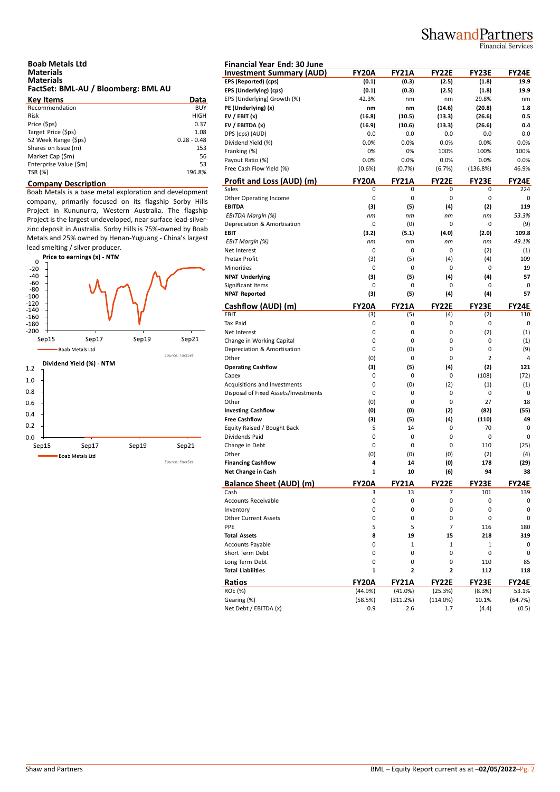# ShawandPartners

Financial Services

| <b>Boab Metals Ltd</b>              |  |
|-------------------------------------|--|
| <b>Materials</b>                    |  |
| <b>Materials</b>                    |  |
| FactSet: BML-AU / Bloomberg: BML AU |  |

| <b>Key Items</b>       | Data          | EP. |
|------------------------|---------------|-----|
| Recommendation         | BUY           | PE  |
| <b>Risk</b>            | <b>HIGH</b>   | EV  |
| Price (\$ps)           | 0.37          | EV  |
| Target Price (\$ps)    | 1.08          | DP  |
| 52 Week Range (\$ps)   | $0.28 - 0.48$ | Di  |
| Shares on Issue (m)    | 153           | Fra |
| Market Cap (\$m)       | 56            | Pa  |
| Enterprise Value (\$m) | 53            |     |
| TSR (%)                | 196.8%        | Fre |

### **Company Description**

Boab Metals is a base metal exploration and development company, primarily focused on its flagship Sorby Hills Project in Kununurra, Western Australia. The flagship Project is the largest undeveloped, near surface lead-silverzinc deposit in Australia. Sorby Hills is 75%-owned by Boab Metals and 25% owned by Henan-Yuguang - China's largest



| <b>Financial Year End: 30 June</b>   |              |                         |                |              |              |
|--------------------------------------|--------------|-------------------------|----------------|--------------|--------------|
| <b>Investment Summary (AUD)</b>      | <b>FY20A</b> | <b>FY21A</b>            | <b>FY22E</b>   | <b>FY23E</b> | FY24E        |
| EPS (Reported) (cps)                 | (0.1)        | (0.3)                   | (2.5)          | (1.8)        | 19.9         |
| EPS (Underlying) (cps)               | (0.1)        | (0.3)                   | (2.5)          | (1.8)        | 19.9         |
| EPS (Underlying) Growth (%)          | 42.3%        | nm                      | nm             | 29.8%        | nm           |
| PE (Underlying) (x)                  | nm           | nm                      | (14.6)         | (20.8)       | 1.8          |
| EV / EBIT $(x)$                      | (16.8)       | (10.5)                  | (13.3)         | (26.6)       | 0.5          |
| EV / EBITDA (x)                      | (16.9)       | (10.6)                  | (13.3)         | (26.6)       | 0.4          |
| DPS (cps) (AUD)                      | 0.0          | 0.0                     | 0.0            | 0.0          | 0.0          |
| Dividend Yield (%)                   | 0.0%         | 0.0%                    | 0.0%           | 0.0%         | 0.0%         |
| Franking (%)                         | 0%           | 0%                      | 100%           | 100%         | 100%         |
| Payout Ratio (%)                     | 0.0%         | 0.0%                    | 0.0%           | 0.0%         | 0.0%         |
| Free Cash Flow Yield (%)             | $(0.6\%)$    | (0.7%)                  | (6.7%)         | (136.8%)     | 46.9%        |
| Profit and Loss (AUD) (m)            | <b>FY20A</b> | <b>FY21A</b>            | <b>FY22E</b>   | <b>FY23E</b> | <b>FY24E</b> |
| Sales                                | 0            | 0                       | 0              | 0            | 224          |
| Other Operating Income               | 0            | 0                       | 0              | 0            | 0            |
| <b>EBITDA</b>                        | (3)          | (5)                     | (4)            | (2)          | 119          |
| EBITDA Margin (%)                    | nm           | nm                      | nm             | nm           | 53.3%        |
| Depreciation & Amortisation          | 0            | (0)                     | 0              | 0            | (9)          |
| <b>EBIT</b>                          | (3.2)        | (5.1)                   | (4.0)          | (2.0)        | 109.8        |
| EBIT Margin (%)                      | nm           | пm                      | nm             | nm           | 49.1%        |
| Net Interest                         | 0            | 0                       | 0              | (2)          | (1)          |
| Pretax Profit                        | (3)          | (5)                     | (4)            | (4)          | 109          |
| Minorities                           | 0            | 0                       | 0              | 0            | 19           |
| <b>NPAT Underlying</b>               | (3)          | (5)                     | (4)            | (4)          | 57           |
| Significant Items                    | 0            | 0                       | 0              | 0            | 0            |
| <b>NPAT Reported</b>                 | (3)          | (5)                     | (4)            | (4)          | 57           |
|                                      |              |                         |                |              |              |
| Cashflow (AUD) (m)                   | <b>FY20A</b> | <b>FY21A</b>            | <b>FY22E</b>   | <b>FY23E</b> | <b>FY24E</b> |
| EBIT<br>Tax Paid                     | (3)<br>0     | (5)<br>0                | (4)<br>0       | (2)<br>0     | 110<br>0     |
| Net Interest                         | 0            |                         |                |              |              |
|                                      |              | 0                       | 0              | (2)          | (1)          |
| Change in Working Capital            | 0            | 0                       | 0              | 0            | (1)          |
| Depreciation & Amortisation          | 0            | (0)                     | 0              | 0            | (9)          |
| Other                                | (0)          | 0                       | 0              | 2            | 4            |
| <b>Operating Cashflow</b>            | (3)          | (5)                     | (4)            | (2)          | 121          |
| Capex                                | 0            | 0                       | 0              | (108)        | (72)         |
| Acquisitions and Investments         | 0            | (0)                     | (2)            | (1)          | (1)          |
| Disposal of Fixed Assets/Investments | 0            | 0                       | 0              | 0            | 0            |
| Other                                | (0)          | 0                       | 0              | 27           | 18           |
| <b>Investing Cashflow</b>            | (0)          | (0)                     | (2)            | (82)         | (55)         |
| <b>Free Cashflow</b>                 | (3)          | (5)                     | (4)            | (110)        | 49           |
| Equity Raised / Bought Back          | 5            | 14                      | 0              | 70           | 0            |
| Dividends Paid                       | 0            | 0                       | 0              | 0            | 0            |
| Change in Debt                       | 0            | 0                       | 0              | 110          | (25)         |
| Other                                | (0)          | (0)                     | (0)            | (2)          | (4)          |
| <b>Financing Cashflow</b>            | 4            | 14                      | (0)            | 178          | (29)         |
| Net Change in Cash                   | 1            | 10                      | (6)            | 94           | 38           |
| <b>Balance Sheet (AUD) (m)</b>       | <b>FY20A</b> | <b>FY21A</b>            | <b>FY22E</b>   | <b>FY23E</b> | <b>FY24E</b> |
| Cash                                 | 3            | 13                      | 7              | 101          | 139          |
| <b>Accounts Receivable</b>           | 0            | 0                       | 0              | 0            | 0            |
| Inventory                            | 0            | 0                       | 0              | 0            | 0            |
| <b>Other Current Assets</b>          | 0            | 0                       | 0              | 0            | 0            |
| PPE                                  | 5            | 5                       | $\overline{7}$ | 116          | 180          |
| <b>Total Assets</b>                  | 8            | 19                      | 15             | 218          | 319          |
| Accounts Payable                     | 0            | $\mathbf 1$             | 1              | 1            | 0            |
| Short Term Debt                      | 0            | 0                       | 0              | 0            | 0            |
| Long Term Debt                       | 0            | 0                       | 0              | 110          | 85           |
| <b>Total Liabilities</b>             | 1            | $\overline{\mathbf{c}}$ | 2              | 112          | 118          |
| Ratios                               | <b>FY20A</b> | <b>FY21A</b>            | <b>FY22E</b>   | FY23E        | <b>FY24E</b> |
| ROE (%)                              | (44.9%)      | (41.0%)                 | (25.3%)        | (8.3%)       | 53.1%        |
| Gearing (%)                          | (58.5%)      | (311.2%)                | (114.0%)       | 10.1%        | (64.7%)      |
| Net Debt / EBITDA (x)                | 0.9          | 2.6                     | 1.7            | (4.4)        | (0.5)        |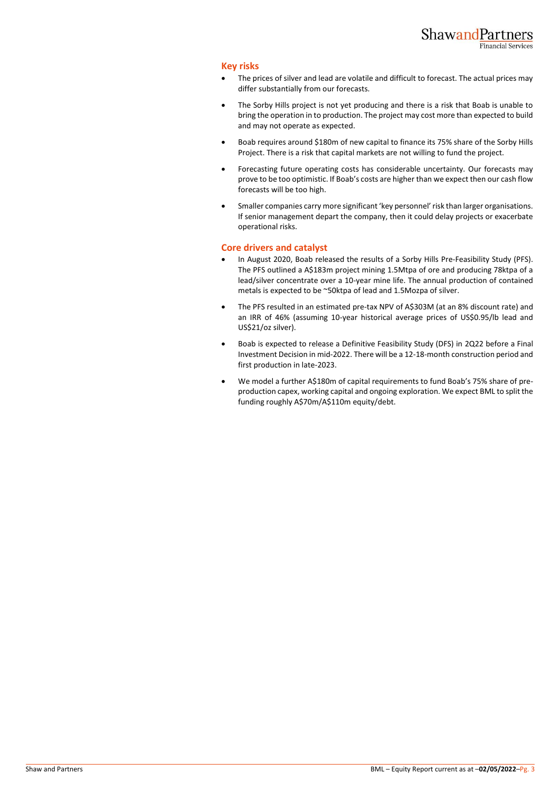## **Key risks**

- The prices of silver and lead are volatile and difficult to forecast. The actual prices may differ substantially from our forecasts.
- The Sorby Hills project is not yet producing and there is a risk that Boab is unable to bring the operation in to production. The project may cost more than expected to build and may not operate as expected.
- Boab requires around \$180m of new capital to finance its 75% share of the Sorby Hills Project. There is a risk that capital markets are not willing to fund the project.
- Forecasting future operating costs has considerable uncertainty. Our forecasts may prove to be too optimistic. If Boab's costs are higher than we expect then our cash flow forecasts will be too high.
- Smaller companies carry more significant 'key personnel' risk than larger organisations. If senior management depart the company, then it could delay projects or exacerbate operational risks.

## **Core drivers and catalyst**

- In August 2020, Boab released the results of a Sorby Hills Pre-Feasibility Study (PFS). The PFS outlined a A\$183m project mining 1.5Mtpa of ore and producing 78ktpa of a lead/silver concentrate over a 10-year mine life. The annual production of contained metals is expected to be ~50ktpa of lead and 1.5Mozpa of silver.
- The PFS resulted in an estimated pre-tax NPV of A\$303M (at an 8% discount rate) and an IRR of 46% (assuming 10-year historical average prices of US\$0.95/lb lead and US\$21/oz silver).
- Boab is expected to release a Definitive Feasibility Study (DFS) in 2Q22 before a Final Investment Decision in mid-2022. There will be a 12-18-month construction period and first production in late-2023.
- We model a further A\$180m of capital requirements to fund Boab's 75% share of preproduction capex, working capital and ongoing exploration. We expect BML to split the funding roughly A\$70m/A\$110m equity/debt.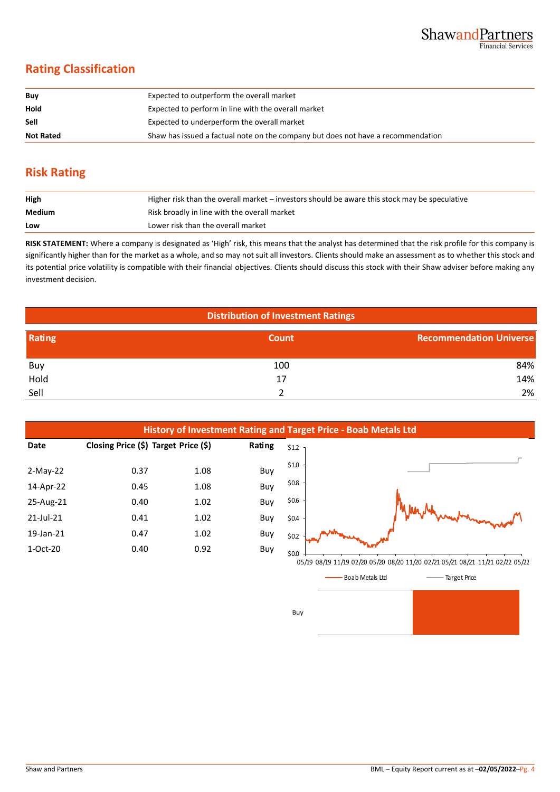# **Rating Classification**

| Buy              | Expected to outperform the overall market                                        |
|------------------|----------------------------------------------------------------------------------|
| Hold             | Expected to perform in line with the overall market                              |
| <b>Sell</b>      | Expected to underperform the overall market                                      |
| <b>Not Rated</b> | Shaw has issued a factual note on the company but does not have a recommendation |

# **Risk Rating**

| High   | Higher risk than the overall market – investors should be aware this stock may be speculative |
|--------|-----------------------------------------------------------------------------------------------|
| Medium | Risk broadly in line with the overall market                                                  |
| Low    | Lower risk than the overall market                                                            |

**RISK STATEMENT:** Where a company is designated as 'High' risk, this means that the analyst has determined that the risk profile for this company is significantly higher than for the market as a whole, and so may not suit all investors. Clients should make an assessment as to whether this stock and its potential price volatility is compatible with their financial objectives. Clients should discuss this stock with their Shaw adviser before making any investment decision.

| <b>Distribution of Investment Ratings</b> |       |                                |  |  |
|-------------------------------------------|-------|--------------------------------|--|--|
| Rating                                    | Count | <b>Recommendation Universe</b> |  |  |
| Buy                                       | 100   | 84%                            |  |  |
| Hold                                      | 17    | 14%                            |  |  |
| Sell                                      |       | 2%                             |  |  |



Boab Metals Ltd Target Price

Buy